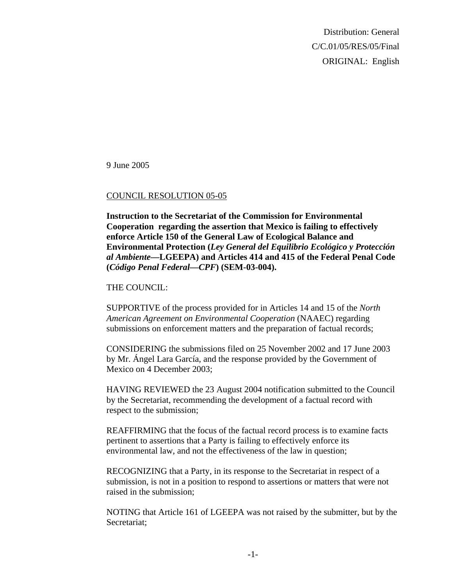Distribution: General C/C.01/05/RES/05/Final ORIGINAL: English

9 June 2005

## COUNCIL RESOLUTION 05-05

**Instruction to the Secretariat of the Commission for Environmental Cooperation regarding the assertion that Mexico is failing to effectively enforce Article 150 of the General Law of Ecological Balance and Environmental Protection (***Ley General del Equilibrio Ecológico y Protección al Ambiente***—LGEEPA) and Articles 414 and 415 of the Federal Penal Code (***Código Penal Federal—CPF***) (SEM-03-004).** 

## THE COUNCIL:

SUPPORTIVE of the process provided for in Articles 14 and 15 of the *North American Agreement on Environmental Cooperation* (NAAEC) regarding submissions on enforcement matters and the preparation of factual records;

CONSIDERING the submissions filed on 25 November 2002 and 17 June 2003 by Mr. Ángel Lara García, and the response provided by the Government of Mexico on 4 December 2003;

HAVING REVIEWED the 23 August 2004 notification submitted to the Council by the Secretariat, recommending the development of a factual record with respect to the submission;

REAFFIRMING that the focus of the factual record process is to examine facts pertinent to assertions that a Party is failing to effectively enforce its environmental law, and not the effectiveness of the law in question;

RECOGNIZING that a Party, in its response to the Secretariat in respect of a submission, is not in a position to respond to assertions or matters that were not raised in the submission;

NOTING that Article 161 of LGEEPA was not raised by the submitter, but by the Secretariat;